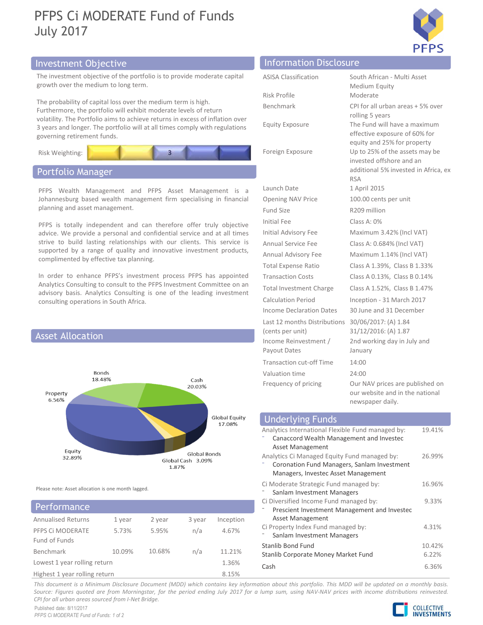# PFPS Ci MODERATE Fund of Funds July 2017



# Investment Objective Information Disclosure Information Disclosure



# Portfolio Manager



# PFPS Ci MODERATE 5.73% Fund of Funds Lowest 1 year rolling return 1.36% **Performance**

|                                                                                                                                                                                             |                                             | <b>PFPS</b>                                                                                                     |
|---------------------------------------------------------------------------------------------------------------------------------------------------------------------------------------------|---------------------------------------------|-----------------------------------------------------------------------------------------------------------------|
| nvestment Objective                                                                                                                                                                         | <b>Information Disclosure</b>               |                                                                                                                 |
| The investment objective of the portfolio is to provide moderate capital<br>growth over the medium to long term.                                                                            | <b>ASISA Classification</b><br>Risk Profile | South African - Multi Asset<br>Medium Equity<br>Moderate                                                        |
| The probability of capital loss over the medium term is high.<br>urthermore, the portfolio will exhibit moderate levels of return                                                           | Benchmark                                   | CPI for all urban areas + 5% over                                                                               |
| volatility. The Portfolio aims to achieve returns in excess of inflation over<br>3 years and longer. The portfolio will at all times comply with regulations<br>governing retirement funds. | <b>Equity Exposure</b>                      | rolling 5 years<br>The Fund will have a maximum<br>effective exposure of 60% for<br>equity and 25% for property |
| Risk Weighting:                                                                                                                                                                             | Foreign Exposure                            | Up to 25% of the assets may be<br>invested offshore and an                                                      |
| Portfolio Manager                                                                                                                                                                           |                                             | additional 5% invested in Africa, ex<br><b>RSA</b>                                                              |
| PFPS Wealth Management and PFPS Asset Management is a                                                                                                                                       | Launch Date                                 | 1 April 2015                                                                                                    |
| Johannesburg based wealth management firm specialising in financial<br>planning and asset management.                                                                                       | Opening NAV Price<br>Fund Size              | 100.00 cents per unit<br>R209 million                                                                           |
|                                                                                                                                                                                             | Initial Fee                                 | Class A: 0%                                                                                                     |
| PFPS is totally independent and can therefore offer truly objective<br>advice. We provide a personal and confidential service and at all times                                              | Initial Advisory Fee                        | Maximum 3.42% (Incl VAT)                                                                                        |
| strive to build lasting relationships with our clients. This service is                                                                                                                     | Annual Service Fee                          | Class A: 0.684% (Incl VAT)                                                                                      |
| supported by a range of quality and innovative investment products,<br>complimented by effective tax planning.                                                                              | Annual Advisory Fee                         | Maximum 1.14% (Incl VAT)                                                                                        |
|                                                                                                                                                                                             | <b>Total Expense Ratio</b>                  | Class A 1.39%, Class B 1.33%                                                                                    |
| In order to enhance PFPS's investment process PFPS has appointed                                                                                                                            | <b>Transaction Costs</b>                    | Class A 0.13%, Class B 0.14%                                                                                    |
| Analytics Consulting to consult to the PFPS Investment Committee on an<br>advisory basis. Analytics Consulting is one of the leading investment                                             | <b>Total Investment Charge</b>              | Class A 1.52%, Class B 1.47%                                                                                    |
| consulting operations in South Africa.                                                                                                                                                      | <b>Calculation Period</b>                   | Inception - 31 March 2017                                                                                       |
|                                                                                                                                                                                             | Income Declaration Dates                    | 30 June and 31 December                                                                                         |
|                                                                                                                                                                                             | Last 12 months Distributions                | 30/06/2017: (A) 1.84                                                                                            |
| <b>Asset Allocation</b>                                                                                                                                                                     | (cents per unit)                            | 31/12/2016: (A) 1.87                                                                                            |
|                                                                                                                                                                                             | Income Reinvestment /<br>Payout Dates       | 2nd working day in July and<br>January                                                                          |
|                                                                                                                                                                                             | <b>Transaction cut-off Time</b>             | 14:00                                                                                                           |
| Bonds<br>18.48%<br>Cash<br>20.03%                                                                                                                                                           | Valuation time<br>Frequency of pricing      | 24:00<br>Our NAV prices are published on<br>our website and in the national                                     |

| duvisory basis. Analytics Consulting is one or the leading investment<br><b>Calculation Period</b><br>Inception - 31 March 2017<br>consulting operations in South Africa.<br>Income Declaration Dates<br>30 June and 31 December<br>Last 12 months Distributions 30/06/2017: (A) 1.84<br>31/12/2016: (A) 1.87<br>(cents per unit)<br><b>Asset Allocation</b><br>Income Reinvestment /<br>2nd working day in July and<br>Payout Dates<br>January<br><b>Transaction cut-off Time</b><br>14:00<br>Bonds<br>Valuation time<br>24:00<br>18.48%<br>Cash<br>Our NAV prices are published on<br>Frequency of pricing<br>20.03%<br>our website and in the national<br>Property<br>6.56%<br>newspaper daily.<br>Global Equity<br><b>Underlying Funds</b><br>17.08%<br>Analytics International Flexible Fund managed by:<br>19.41%<br>Canaccord Wealth Management and Investec<br>Asset Management<br>Equity<br>Global Bonds<br>Analytics Ci Managed Equity Fund managed by:<br>26.99%<br>32.89%<br>Global Cash 3.09%<br>Coronation Fund Managers, Sanlam Investment<br>1.87%<br>Managers, Investec Asset Management<br>Ci Moderate Strategic Fund managed by:<br>16.96%<br>Please note: Asset allocation is one month lagged.<br>Sanlam Investment Managers<br>Ci Diversified Income Fund managed by:<br>9.33% |
|------------------------------------------------------------------------------------------------------------------------------------------------------------------------------------------------------------------------------------------------------------------------------------------------------------------------------------------------------------------------------------------------------------------------------------------------------------------------------------------------------------------------------------------------------------------------------------------------------------------------------------------------------------------------------------------------------------------------------------------------------------------------------------------------------------------------------------------------------------------------------------------------------------------------------------------------------------------------------------------------------------------------------------------------------------------------------------------------------------------------------------------------------------------------------------------------------------------------------------------------------------------------------------------------------|
|                                                                                                                                                                                                                                                                                                                                                                                                                                                                                                                                                                                                                                                                                                                                                                                                                                                                                                                                                                                                                                                                                                                                                                                                                                                                                                      |
|                                                                                                                                                                                                                                                                                                                                                                                                                                                                                                                                                                                                                                                                                                                                                                                                                                                                                                                                                                                                                                                                                                                                                                                                                                                                                                      |
|                                                                                                                                                                                                                                                                                                                                                                                                                                                                                                                                                                                                                                                                                                                                                                                                                                                                                                                                                                                                                                                                                                                                                                                                                                                                                                      |
|                                                                                                                                                                                                                                                                                                                                                                                                                                                                                                                                                                                                                                                                                                                                                                                                                                                                                                                                                                                                                                                                                                                                                                                                                                                                                                      |
|                                                                                                                                                                                                                                                                                                                                                                                                                                                                                                                                                                                                                                                                                                                                                                                                                                                                                                                                                                                                                                                                                                                                                                                                                                                                                                      |
|                                                                                                                                                                                                                                                                                                                                                                                                                                                                                                                                                                                                                                                                                                                                                                                                                                                                                                                                                                                                                                                                                                                                                                                                                                                                                                      |
|                                                                                                                                                                                                                                                                                                                                                                                                                                                                                                                                                                                                                                                                                                                                                                                                                                                                                                                                                                                                                                                                                                                                                                                                                                                                                                      |
|                                                                                                                                                                                                                                                                                                                                                                                                                                                                                                                                                                                                                                                                                                                                                                                                                                                                                                                                                                                                                                                                                                                                                                                                                                                                                                      |
|                                                                                                                                                                                                                                                                                                                                                                                                                                                                                                                                                                                                                                                                                                                                                                                                                                                                                                                                                                                                                                                                                                                                                                                                                                                                                                      |
|                                                                                                                                                                                                                                                                                                                                                                                                                                                                                                                                                                                                                                                                                                                                                                                                                                                                                                                                                                                                                                                                                                                                                                                                                                                                                                      |
| Performance<br>Prescient Investment Management and Investec                                                                                                                                                                                                                                                                                                                                                                                                                                                                                                                                                                                                                                                                                                                                                                                                                                                                                                                                                                                                                                                                                                                                                                                                                                          |
| Asset Management<br><b>Annualised Returns</b><br>1 year<br>2 year<br>3 year<br>Inception<br>Ci Property Index Fund managed by:<br>4.31%<br>PFPS Ci MODERATE<br>5.73%<br>5.95%<br>n/a<br>4.67%<br>Sanlam Investment Managers                                                                                                                                                                                                                                                                                                                                                                                                                                                                                                                                                                                                                                                                                                                                                                                                                                                                                                                                                                                                                                                                          |
| Fund of Funds<br><b>Stanlib Bond Fund</b><br>10.42%<br>10.09%<br>10.68%<br>11.21%<br>Benchmark<br>n/a<br>6.22%<br>Stanlib Corporate Money Market Fund                                                                                                                                                                                                                                                                                                                                                                                                                                                                                                                                                                                                                                                                                                                                                                                                                                                                                                                                                                                                                                                                                                                                                |
| Lowest 1 year rolling return<br>1.36%<br>Cash<br>6.36%                                                                                                                                                                                                                                                                                                                                                                                                                                                                                                                                                                                                                                                                                                                                                                                                                                                                                                                                                                                                                                                                                                                                                                                                                                               |
| 8.15%<br>Highest 1 year rolling return                                                                                                                                                                                                                                                                                                                                                                                                                                                                                                                                                                                                                                                                                                                                                                                                                                                                                                                                                                                                                                                                                                                                                                                                                                                               |